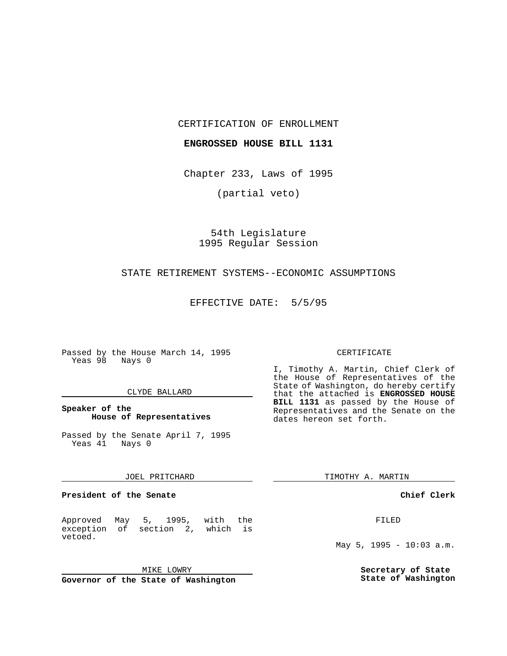CERTIFICATION OF ENROLLMENT

## **ENGROSSED HOUSE BILL 1131**

Chapter 233, Laws of 1995

(partial veto)

## 54th Legislature 1995 Regular Session

## STATE RETIREMENT SYSTEMS--ECONOMIC ASSUMPTIONS

EFFECTIVE DATE: 5/5/95

Passed by the House March 14, 1995 Yeas 98 Nays 0

#### CLYDE BALLARD

## **Speaker of the House of Representatives**

Passed by the Senate April 7, 1995<br>Yeas 41 Nays 0 Yeas 41

#### JOEL PRITCHARD

**President of the Senate**

Approved May 5, 1995, with the exception of section 2, which is vetoed.

MIKE LOWRY

**Governor of the State of Washington**

#### CERTIFICATE

I, Timothy A. Martin, Chief Clerk of the House of Representatives of the State of Washington, do hereby certify that the attached is **ENGROSSED HOUSE BILL 1131** as passed by the House of Representatives and the Senate on the dates hereon set forth.

TIMOTHY A. MARTIN

### **Chief Clerk**

FILED

May 5, 1995 - 10:03 a.m.

**Secretary of State State of Washington**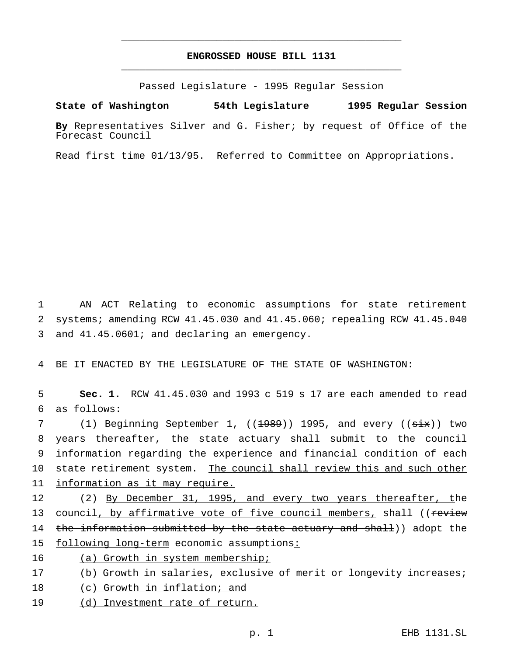## **ENGROSSED HOUSE BILL 1131** \_\_\_\_\_\_\_\_\_\_\_\_\_\_\_\_\_\_\_\_\_\_\_\_\_\_\_\_\_\_\_\_\_\_\_\_\_\_\_\_\_\_\_\_\_\_\_

\_\_\_\_\_\_\_\_\_\_\_\_\_\_\_\_\_\_\_\_\_\_\_\_\_\_\_\_\_\_\_\_\_\_\_\_\_\_\_\_\_\_\_\_\_\_\_

Passed Legislature - 1995 Regular Session

**State of Washington 54th Legislature 1995 Regular Session**

**By** Representatives Silver and G. Fisher; by request of Office of the Forecast Council

Read first time 01/13/95. Referred to Committee on Appropriations.

1 AN ACT Relating to economic assumptions for state retirement 2 systems; amending RCW 41.45.030 and 41.45.060; repealing RCW 41.45.040 3 and 41.45.0601; and declaring an emergency.

4 BE IT ENACTED BY THE LEGISLATURE OF THE STATE OF WASHINGTON:

5 **Sec. 1.** RCW 41.45.030 and 1993 c 519 s 17 are each amended to read 6 as follows:

7 (1) Beginning September 1, ((1989)) 1995, and every ((six)) two 8 years thereafter, the state actuary shall submit to the council 9 information regarding the experience and financial condition of each 10 state retirement system. The council shall review this and such other 11 information as it may require.

12 (2) By December 31, 1995, and every two years thereafter, the 13 council, by affirmative vote of five council members, shall ((review 14 the information submitted by the state actuary and shall)) adopt the 15 following long-term economic assumptions:

16 (a) Growth in system membership;

17 (b) Growth in salaries, exclusive of merit or longevity increases;

18 (c) Growth in inflation; and

19 (d) Investment rate of return.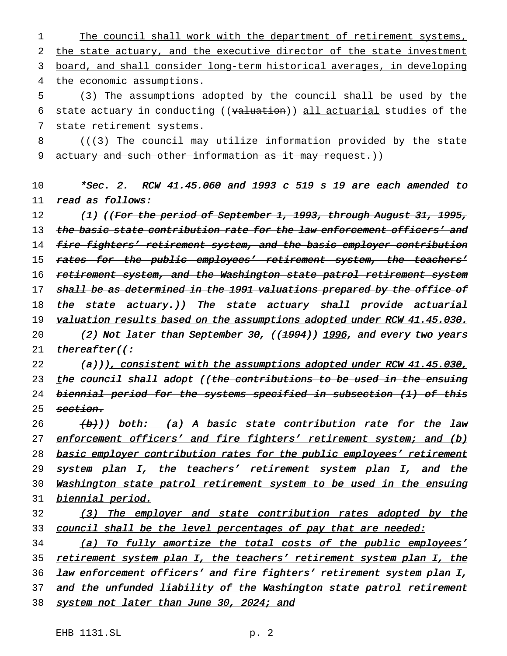1 The council shall work with the department of retirement systems, the state actuary, and the executive director of the state investment board, and shall consider long-term historical averages, in developing the economic assumptions.

5 (3) The assumptions adopted by the council shall be used by the 6 state actuary in conducting (( $\theta$ uation)) all actuarial studies of the 7 state retirement systems.

8  $($   $($   $($   $+$  3 $)$  The council may utilize information provided by the state 9 actuary and such other information as it may request.))

10 \*Sec. 2. RCW 41.45.060 and <sup>1993</sup> <sup>c</sup> <sup>519</sup> <sup>s</sup> <sup>19</sup> are each amended to 11 read as follows:

12 (1) ((For the period of September 1, 1993, through August 31, 1995, 13 the basic state contribution rate for the law enforcement officers' and 14 fire fighters' retirement system, and the basic employer contribution 15 rates for the public employees' retirement system, the teachers' 16 <del>retirement system, and the Washington state patrol retirement system</del> 17 shall be as determined in the 1991 valuations prepared by the office of 18 the state actuary.)) The state actuary shall provide actuarial 19 valuation results based on the assumptions adopted under RCW 41.45.030. 20 (2) Not later than September 30, ((1994)) 1996, and every two years

21 thereafter( $\leftrightarrow$ 

22  $(a)$ , consistent with the assumptions adopted under RCW 41.45.030, 23 the council shall adopt ((the contributions to be used in the ensuing 24 biennial period for the systems specified in subsection (1) of this 25 section.

26 (b))) both: (a) A basic state contribution rate for the law 27 enforcement officers' and fire fighters' retirement system; and (b) 28 basic employer contribution rates for the public employees' retirement 29 system plan I, the teachers' retirement system plan I, and the 30 Washington state patrol retirement system to be used in the ensuing 31 biennial period.

# 32 (3) The employer and state contribution rates adopted by the 33 council shall be the level percentages of pay that are needed:

34 (a) To fully amortize the total costs of the public employees' 35 retirement system plan I, the teachers' retirement system plan I, the

36 law enforcement officers' and fire fighters' retirement system plan I,

37 and the unfunded liability of the Washington state patrol retirement

38 system not later than June 30, 2024; and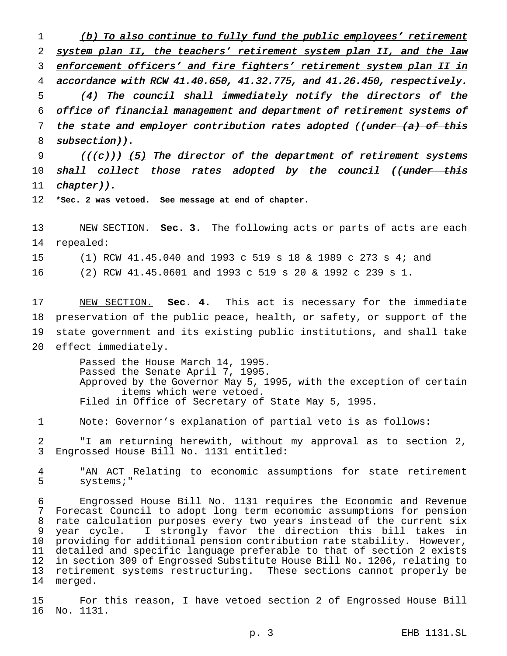1 (b) To also continue to fully fund the public employees' retirement system plan II, the teachers' retirement system plan II, and the law 3 enforcement officers' and fire fighters' retirement system plan II in accordance with RCW 41.40.650, 41.32.775, and 41.26.450, respectively. 5 (4) The council shall immediately notify the directors of the office of financial management and department of retirement systems of 7 the state and employer contribution rates adopted ((under (a) of this 8 subsection)). (( $\{\text{e}\})$ ) (5) The director of the department of retirement systems 10 shall collect those rates adopted by the council ((under this  $chapter)$ .

**\*Sec. 2 was vetoed. See message at end of chapter.**

 NEW SECTION. **Sec. 3.** The following acts or parts of acts are each repealed:

(1) RCW 41.45.040 and 1993 c 519 s 18 & 1989 c 273 s 4; and

(2) RCW 41.45.0601 and 1993 c 519 s 20 & 1992 c 239 s 1.

 NEW SECTION. **Sec. 4.** This act is necessary for the immediate preservation of the public peace, health, or safety, or support of the state government and its existing public institutions, and shall take effect immediately.

> Passed the House March 14, 1995. Passed the Senate April 7, 1995. Approved by the Governor May 5, 1995, with the exception of certain items which were vetoed. Filed in Office of Secretary of State May 5, 1995.

Note: Governor's explanation of partial veto is as follows:

 "I am returning herewith, without my approval as to section 2, Engrossed House Bill No. 1131 entitled:

 "AN ACT Relating to economic assumptions for state retirement systems;"

 Engrossed House Bill No. 1131 requires the Economic and Revenue Forecast Council to adopt long term economic assumptions for pension rate calculation purposes every two years instead of the current six year cycle. I strongly favor the direction this bill takes in providing for additional pension contribution rate stability. However, detailed and specific language preferable to that of section 2 exists in section 309 of Engrossed Substitute House Bill No. 1206, relating to retirement systems restructuring. These sections cannot properly be merged.

 For this reason, I have vetoed section 2 of Engrossed House Bill No. 1131.